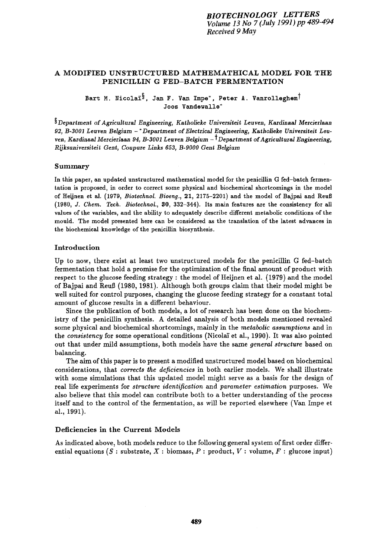# A MODIFIED UNSTRUCTURED MATHEMATHICAL MODEL FOR THE PENICILLIN G FED-BATCH FERMENTATION

Bart M. Nicolaï<sup>§</sup>, Jan F. Van Impe<sup>\*</sup>, Peter A. Vanrolleghem<sup>†</sup> Joos Vandewalle\*

<sup>§</sup> Department of Agricultural Engineering, Katholieke Universiteit Leuven, Kardinaal Mercierlaan *92, B-3001 Leuven Belgium -\*Department of Electrical Engineering, Katholleke Universiteit Leuyen, Kardinaal Mercierlaan 94, B-3001 Leuven Belgium - t Department of Agricultural Engineering, Rijksuniversiteit Gent, Coupure Links 653, B-9000 Gent Belgium* 

### Summary

In this paper, an updated unstructured mathematical model for the penicillin G fed-batch fermentation is proposed, in order to correct some physical and biochemical shortcomings in the model of Heijnen et al. (1979, *Biotechnol. Bioeng.,* 21, 2175-2201) and the model of Bajpai and Reull (1980, *J. Chem. Tech. Biotechnol., 30,* 332-344). Its main features are the consistency for all values of the variables, and the ability to adequately describe different metabolic conditions of the mould. The model presented here can be considered as the translation of the latest advances in the biochemical knowledge of the penicillin biosynthesis.

## Introduction

Up to now, there exist at least two unstructured models for the penicillin G fed-batch fermentation that hold a promise for the optimization of the final amount of product with respect to the glucose feeding strategy : the model of Heijnen et al. (1979) and the model of Bajpai and Reuf~ (1980, 1981). Although both groups claim that their model might be well suited for control purposes, changing the glucose feeding strategy for a constant total amount of glucose results in a different behaviour.

Since the publication of both models, a lot of research has been done on the biochemistry of the penicillin synthesis. A detailed analysis of both models mentioned revealed some physical and biochemical shortcomings, mainly in the *metabolic assumptions* and in the *consistency* for some operational conditions (Nicolaï et al., 1990). It was also pointed out that under mild assumptions, both models have the same *general structure* based on balancing.

The aim of this paper is to present a modified unstructured model based on biochemical considerations, that *corrects the deficiencies* in both earlier models. We shall illustrate with some simulations that this updated model might serve as a basis for the design of real life experiments for *structure identification* and *parameter estimation* purposes. We also believe that this model can contribute both to a better understanding of the process itself and to the control of the fermentation, as will be reported elsewhere (Van Impe et al., 1991).

# Deficiencies in the Current Models

As indicated above, both models reduce to the following general system of first order differential equations (S : substrate, X : biomass, P : product, V : volume, F : glucose input)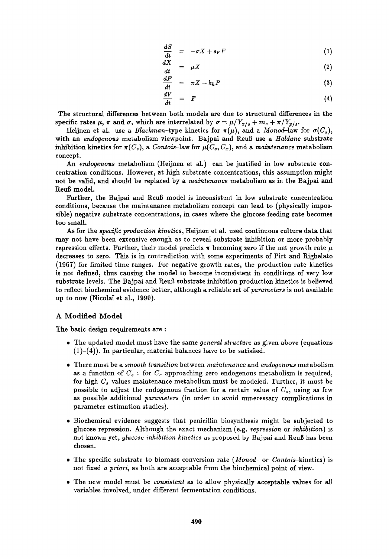$$
\frac{dS}{dt} = -\sigma X + s_F F \tag{1}
$$

$$
\frac{dA}{dt} = \mu X \tag{2}
$$

$$
\frac{dP}{dt} = \pi X - k_h P \tag{3}
$$

$$
\frac{dV}{dt} = F \tag{4}
$$

The structural differences between both models are due to structural differences in the specific rates  $\mu$ ,  $\pi$  and  $\sigma$ , which are interrelated by  $\sigma = \mu/Y_{x/s} + m_s + \pi/Y_{p/s}$ .

Heijnen et al. use a *Blackman*-type kinetics for  $\pi(\mu)$ , and a *Monod*-law for  $\sigma(C_s)$ , with an *endogenous* metabolism viewpoint. Bajpai and Reuß use a *Haldane* substrate inhibition kinetics for  $\pi(C_s)$ , a *Contois*-law for  $\mu(C_s, C_x)$ , and a *maintenance* metabolism concept.

An *endogenous* metabolism (Heijnen et al.) can be justified in low substrate concentration conditions. However, at high substrate concentrations, this assumption might not be valid, and should be replaced by a *maintenance* metabolism as in the Bajpai and Reuß model.

Further, the Bajpai and Reuß model is inconsistent in low substrate concentration conditions, because the maintenance metabolism concept can lead to (physically impossible) negative substrate concentrations, in cases where the glucose feeding rate becomes too small.

As for the *specific production kinetics,* Heijnen et al. used continuous culture data that may not have been extensive enough as to reveal substrate inhibition or more probably repression effects. Further, their model predicts  $\pi$  becoming zero if the net growth rate  $\mu$ decreases to zero. This is in contradiction with some experiments of Pirt and Righelato  $(1967)$  for limited time ranges. For negative growth rates, the production rate kinetics is not defined, thus causing the model to become inconsistent in conditions of very low substrate levels. The Bajpai and Reuß substrate inhibition production kinetics is believed to reflect biochemical evidence better, although a reliable set of *parameters* is not available up to now (Nicolaï et al., 1990).

# A Modified Model

The basic design requirements are :

- 9 The updated model must have the same *general structure* as given above (equations  $(1)-(4)$ ). In particular, material balances have to be satisfied.
- 9 There must be a *smooth transition* between *maintenance* and *endogenous* metabolism as a function of  $C_s$ : for  $C_s$  approaching zero endogenous metabolism is required, for high  $C_s$  values maintenance metabolism must be modeled. Further, it must be possible to adjust the endogenous fraction for a certain value of  $C_s$ , using as few as possible additional *parameters* (in order to avoid unnecessary complications in parameter estimation studies).
- 9 Biochemical evidence suggests that penicillin biosynthesis might be subjected to glucose repression. Although the exact mechanism (e.g. *repression* or *inhibition)* is not known yet, *glucose inhibition kinetics* as proposed by Bajpai and Reuß has been chosen.
- 9 The specific substrate to biomass conversion rate *(Monod-* or *Contois-kinetics)* is not fixed a priori, as both are acceptable from the biochemical point of view.
- 9 The new model must be *consistent* as to allow physically acceptable values for all variables involved, under different fermentation conditions.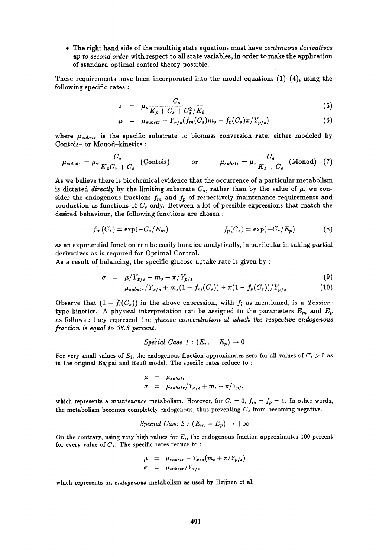9 The right hand side of the resulting state equations must have *continuous derivatives up to second order* with respect to all state variables, in order to make the application of standard optimal control theory possible.

These requirements have been incorporated into the model equations  $(1)-(4)$ , using the following specific rates :

$$
\pi = \mu_p \frac{C_s}{K_p + C_s + C_s^2/K_i} \tag{5}
$$

$$
\mu = \mu_{substr} - Y_{x/s}(f_m(C_s)m_s + f_p(C_s)\pi/Y_{p/s})
$$
\n(6)

where  $\mu_{substr}$  is the specific substrate to biomass conversion rate, either modeled by Contois- or Monod-kinetics :

$$
\mu_{substr} = \mu_x \frac{C_s}{K_x C_x + C_s} \quad \text{(Contois)} \quad \text{or} \quad \mu_{substr} = \mu_x \frac{C_s}{K_s + C_s} \quad \text{(Monod)} \quad (7)
$$

As we believe there is biochemical evidence that the occurrence of a particular metabolism is dictated *directly* by the limiting substrate  $C_s$ , rather than by the value of  $\mu$ , we consider the endogenous fractions  $f_m$  and  $f_p$  of respectively maintenance requirements and production as functions of  $C_s$  only. Between a lot of possible expressions that match the desired behaviour, the following functions are chosen :

$$
f_m(C_s) = \exp(-C_s/E_m) \qquad f_p(C_s) = \exp(-C_s/E_p) \qquad (8)
$$

as an exponential function can be easily handled analytically, in particular in taking partial derivatives as is required for Optimal Control.

As a result of balancing, the specific glucose uptake rate is given by :

$$
\sigma = \mu/Y_{x/s} + m_s + \pi/Y_{p/s} \tag{9}
$$

$$
= \mu_{substr}/Y_{x/s} + m_s(1 - f_m(C_s)) + \pi(1 - f_p(C_s))/Y_{p/s} \qquad (10)
$$

Observe that  $(1 - f_i(C_s))$  in the above expression, with  $f_i$  as mentioned, is a *Tessier*type kinetics. A physical interpretation can be assigned to the parameters  $E_m$  and  $E_p$ as follows : they represent the *glucose concentration at which the respective endogenous fraction is equal to 36.8 percent.* 

Special Case 1: 
$$
(E_m = E_p) \rightarrow 0
$$

For very small values of  $E_i$ , the endogenous fraction approximates zero for all values of  $C_s > 0$  as in the original Bajpai and Reuß model. The specific rates reduce to:

$$
\mu = \mu_{substr}
$$
  
\n
$$
\sigma = \mu_{substr}/Y_{x/s} + m_s + \pi/Y_{p/s}
$$

which represents a *maintenance* metabolism. However, for  $C_s = 0$ ,  $f_m = f_p = 1$ . In other words, the metabolism becomes completely endogenous, thus preventing  $C<sub>s</sub>$  from becoming negative.

Special Case 2: 
$$
(E_m = E_p) \rightarrow +\infty
$$

On the contrary, using very high values for  $E_i$ , the endogenous fraction approximates 100 percent for every value of  $C_s$ . The specific rates reduce to :

$$
\mu = \mu_{substr} - Y_{x/s}(m_s + \pi/Y_{p/s})
$$
  

$$
\sigma = \mu_{substr}/Y_{x/s}
$$

which represents an *endogenous* metabolism as used by Heijnen et al.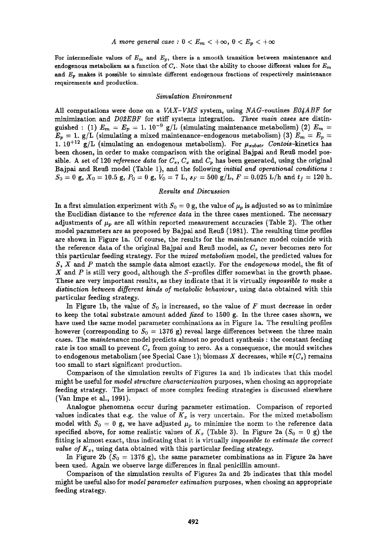For intermediate values of  $E_m$  and  $E_p$ , there is a smooth transition between maintenance and endogenous metabolism as a function of  $C_s$ . Note that the ability to choose different values for  $E_m$ and  $E_p$  makes it possible to simulate different endogenous fractions of respectively maintenance requirements and production.

#### *Simulation Environment*

All computations were done on a *VAX-VMS* system, using *NAG-routines EO4ABF* for minimization and *DO2EBF* for stiff systems integration. *Three main cases are* distinguished: (1)  $E_m = E_p = 1.10^{-9}$  g/L (simulating maintenance metabolism) (2)  $E_m =$  $E_p = 1$ . g/L (simulating a mixed maintenance-endogenous metabolism) (3)  $E_m = E_p =$ 1.  $10^{+12}$  g/L (simulating an endogenous metabolism). For  $\mu_{substr}$  Contois-kinetics has been chosen, in order to make comparison with the original Bajpai and Reuß model possible. A set of 120 *reference data* for  $C_s$ ,  $C_x$  and  $C_v$  has been generated, using the original Bajpai and Reufi model (Table 1), and the following *initial and operational conditions :*   $S_0 = 0$  g,  $X_0 = 10.5$  g,  $P_0 = 0$  g,  $V_0 = 7$  L,  $s_F = 500$  g/L,  $F = 0.025$  L/h and  $t_f = 120$  h.

### *Results and Discussion*

In a first simulation experiment with  $S_0 = 0$  g, the value of  $\mu_p$  is adjusted so as to minimize the Euclidian distance to the *reference data* in the three cases mentioned. The necessary adjustments of  $\mu_p$  are all within reported measurement accuracies (Table 2). The other model parameters are as proposed by Bajpai and Reuß (1981). The resulting time profiles are shown in Figure la. Of course, the results for the *maintenance* model coincide with the reference data of the original Bajpai and Reuß model, as  $C_s$  never becomes zero for this particular feeding strategy. For the *mixed metabolism* model, the predicted values for S, X and P match the sample data almost exactly. For the *endogenous* model, the fit of  $X$  and  $P$  is still very good, although the  $S$ -profiles differ somewhat in the growth phase. These are very important results, as they indicate that it is virtually *impossible to make a*  distinction between different kinds of metabolic behaviour, using data obtained with this particular feeding strategy.

In Figure 1b, the value of  $S_0$  is increased, so the value of F must decrease in order to keep the total substrate amount added *fixed* to 1500 g. In the three cases shown, we have used the same model parameter combinations as in Figure la. The resulting profiles however (corresponding to  $S_0 = 1376$  g) reveal large differences between the three main cases. The *maintenance* model predicts almost no product synthesis : the constant feeding rate is too small to prevent  $C_s$  from going to zero. As a consequence, the mould switches to endogenous metabolism (see Special Case 1); biomass X decreases, while  $\pi(C_s)$  remains too small to start significant production.

Comparison of the simulation results of Figures la and lb indicates that this model might be useful for *model structure characterization* purposes, when chosing an appropriate feeding strategy. The impact of more complex feeding strategies is discussed elsewhere (Van Impe et al., 1991).

Analogue phenomena occur during parameter estimation. Comparison of reported values indicates that e.g. the value of  $K_x$  is very uncertain. For the mixed metabolism model with  $S_0 = 0$  g, we have adjusted  $\mu_p$  to minimize the norm to the reference data specified above, for some realistic values of  $K_x$  (Table 3). In Figure 2a ( $S_0 = 0$  g) the fitting is almost exact, thus indicating that it is virtually *impossible to estimate the correct value of*  $K_x$ , using data obtained with this particular feeding strategy.

In Figure 2b ( $S_0 = 1376$  g), the same parameter combinations as in Figure 2a have been used. Again we observe large differences in final penicillin amount.

Comparison of the simulation results of Figures 2a and 2b indicates that this model might be useful also for *model parameter estimation* purposes, when chosing an appropriate feeding strategy.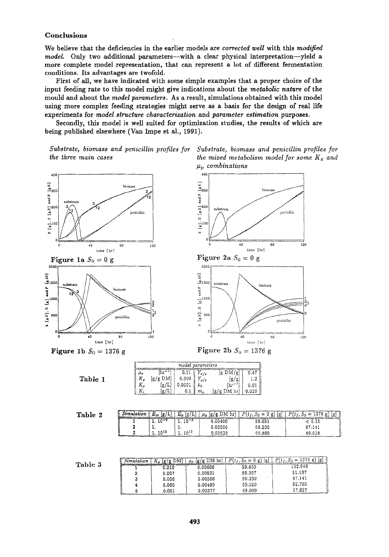## **Conclusions**

**We believe that the deficiencies in the earlier models are** *corrected well* **with this** *modified model.* Only two additional parameters—with a clear physical interpretation—yield a **more complete model representation, that can represent a lot of different fermentation conditions. Its advantages are twofold.** 

**First of all, we have indicated with some simple examples that a proper choice of the input feeding rate to this model might give indications about the** *metabolic nature* **of the mould and about the** *model parameters.* **As a result, simulations obtained with this model using more complex feeding strategies might serve as a basis for the design of real life experiments for** *model structure characterization* **and** *parameter estimation* **purposes.** 

**Secondly, this model is well suited for optimization studies, the results of which are being published elsewhere (Van Impe et ai., 1991).** 

> 40  $\frac{5}{300}$ and P

> > v<br>—100

 $\frac{2}{3}^{200}$ 

*2000* 

*Substrate, biomass and penicillin profiles for the three main cases* 



biomas

substrate providilin

time [hr]

**<sup>80</sup>120** 

penicillin





**tim~** [hr]

**Figure 1b**  $S_0 = 1376$  g



|                                          | $1500 \Big\}$ substrate | biomass |    |
|------------------------------------------|-------------------------|---------|----|
| o,<br>and<br>$\mathbb{Q}^{1000+}$        |                         |         |    |
| w<br>$\widehat{\pi}$<br>500 <sub>1</sub> |                         |         | ی× |

**Figure 2a**  $S_0 = 0$  **g** 

40

**o** ::~; ........ 3\_/-~ ............................ 40 (~0 **]20**  time [ hr} **Figure 2b**  $S_0 = 1376$  g

| model parameters |          |        |      |            |       |  |
|------------------|----------|--------|------|------------|-------|--|
| 12               |          |        |      | DM.<br>/g  | 0.47  |  |
| Κ,               | [g/g DM] | 0.006  | v/ s | .ช/ย)      | 1.2   |  |
| $K_p$            |          | 0.0001 |      | $\ln^{-1}$ | 0.01  |  |
| Κ.               | ப        | v.i    | m,   | DM hr      | 0.029 |  |

•

| Table |  |
|-------|--|
|-------|--|

| Table | Simulation | lg/<br>$E_m$  | E.<br>lg/Ll      | {g/g DM hr} !<br>$\mu_n$ | P(t)<br>∾ <i>ττ</i> , ∂α = βατιο-<br>lgi | P(t)<br>$n = 1376 g$<br>[g] |
|-------|------------|---------------|------------------|--------------------------|------------------------------------------|-----------------------------|
|       |            | ו−מו          | .                | .00400                   | 59.651                                   | u. 15                       |
|       |            | . .           | . .              | 0.00506                  | 59.239                                   | 87.141                      |
|       |            | $\pm 10^{12}$ | $10^{12}$<br>. . | 0.00529                  | 60.865                                   | 89.538                      |

|         | Simulation | DМ    | $\left  g/g \text{ DM hr} \right $ | D.<br>$=$ | וכז<br>1376 g<br>łВ<br>$=$ |
|---------|------------|-------|------------------------------------|-----------|----------------------------|
| Table 3 |            | 0.010 | 0.00606                            | 59.800    | 102.649                    |
|         |            | 0.007 | 0.00531                            | 59.357    | 91.187                     |
|         |            | 0.006 | 0.00506                            | 59.239    | 87.141                     |
|         |            | 0.005 | 0.00480                            | 59.020    | 82.760                     |
|         |            | 0.001 | 0.00377                            | 58.009    | 57.827                     |